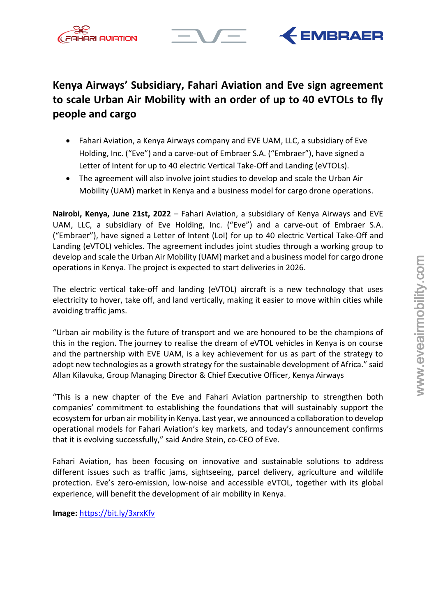



# **Kenya Airways' Subsidiary, Fahari Aviation and Eve sign agreement to scale Urban Air Mobility with an order of up to 40 eVTOLs to fly people and cargo**

- Fahari Aviation, a Kenya Airways company and EVE UAM, LLC, a subsidiary of Eve Holding, Inc. ("Eve") and a carve-out of Embraer S.A. ("Embraer"), have signed a Letter of Intent for up to 40 electric Vertical Take-Off and Landing (eVTOLs).
- The agreement will also involve joint studies to develop and scale the Urban Air Mobility (UAM) market in Kenya and a business model for cargo drone operations.

**Nairobi, Kenya, June 21st, 2022** – Fahari Aviation, a subsidiary of Kenya Airways and EVE UAM, LLC, a subsidiary of Eve Holding, Inc. ("Eve") and a carve-out of Embraer S.A. ("Embraer"), have signed a Letter of Intent (LoI) for up to 40 electric Vertical Take-Off and Landing (eVTOL) vehicles. The agreement includes joint studies through a working group to develop and scale the Urban Air Mobility (UAM) market and a business model for cargo drone operations in Kenya. The project is expected to start deliveries in 2026.

The electric vertical take-off and landing (eVTOL) aircraft is a new technology that uses electricity to hover, take off, and land vertically, making it easier to move within cities while avoiding traffic jams.

"Urban air mobility is the future of transport and we are honoured to be the champions of this in the region. The journey to realise the dream of eVTOL vehicles in Kenya is on course and the partnership with EVE UAM, is a key achievement for us as part of the strategy to adopt new technologies as a growth strategy for the sustainable development of Africa." said Allan Kilavuka, Group Managing Director & Chief Executive Officer, Kenya Airways develop and scale the Urban Air Mobility (UAM) market and a business model for cargo drone<br>operations in Kenya. The project is expected to start deliveries in 2026.<br>The electric vericlal take-off and landing (eVTOL) aircra

"This is a new chapter of the Eve and Fahari Aviation partnership to strengthen both companies' commitment to establishing the foundations that will sustainably support the ecosystem for urban air mobility in Kenya. Last year, we announced a collaboration to develop operational models for Fahari Aviation's key markets, and today's announcement confirms that it is evolving successfully," said Andre Stein, co-CEO of Eve.

Fahari Aviation, has been focusing on innovative and sustainable solutions to address different issues such as traffic jams, sightseeing, parcel delivery, agriculture and wildlife protection. Eve's zero-emission, low-noise and accessible eVTOL, together with its global experience, will benefit the development of air mobility in Kenya.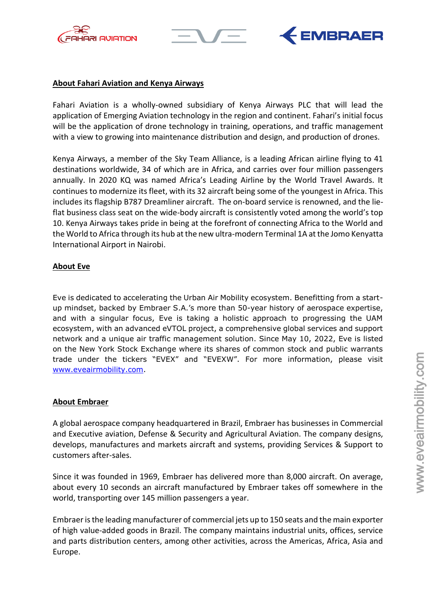



## **About Fahari Aviation and Kenya Airways**

Fahari Aviation is a wholly-owned subsidiary of Kenya Airways PLC that will lead the application of Emerging Aviation technology in the region and continent. Fahari's initial focus will be the application of drone technology in training, operations, and traffic management with a view to growing into maintenance distribution and design, and production of drones.

Kenya Airways, a member of the Sky Team Alliance, is a leading African airline flying to 41 destinations worldwide, 34 of which are in Africa, and carries over four million passengers annually. In 2020 KQ was named Africa's Leading Airline by the World Travel Awards. It continues to modernize its fleet, with its 32 aircraft being some of the youngest in Africa. This includes its flagship B787 Dreamliner aircraft. The on-board service is renowned, and the lieflat business class seat on the wide-body aircraft is consistently voted among the world's top 10. Kenya Airways takes pride in being at the forefront of connecting Africa to the World and the World to Africa through its hub at the new ultra-modern Terminal 1A at the Jomo Kenyatta International Airport in Nairobi.

#### **About Eve**

Eve is dedicated to accelerating the Urban Air Mobility ecosystem. Benefitting from a startup mindset, backed by Embraer S.A.'s more than 50-year history of aerospace expertise, and with a singular focus, Eve is taking a holistic approach to progressing the UAM ecosystem, with an advanced eVTOL project, a comprehensive global services and support network and a unique air traffic management solution. Since May 10, 2022, Eve is listed on the New York Stock Exchange where its shares of common stock and public warrants trade under the tickers "EVEX" and "EVEXW". For more information, please visit [www.eveairmobility.com.](http://www.eveairmobility.com/)

### **About Embraer**

A global aerospace company headquartered in Brazil, Embraer has businesses in Commercial and Executive aviation, Defense & Security and Agricultural Aviation. The company designs, develops, manufactures and markets aircraft and systems, providing Services & Support to customers after-sales.

Since it was founded in 1969, Embraer has delivered more than 8,000 aircraft. On average, about every 10 seconds an aircraft manufactured by Embraer takes off somewhere in the world, transporting over 145 million passengers a year.

Embraer is the leading manufacturer of commercial jets up to 150 seats and the main exporter of high value-added goods in Brazil. The company maintains industrial units, offices, service and parts distribution centers, among other activities, across the Americas, Africa, Asia and on the New York Suchar and Nectrical Such as the Netrical Control of the Netrical Such and Netrical Such and Netrical Such and Netrical Such and Netrical Such and Netrical Such and Netrical Such and Executive aviation, Def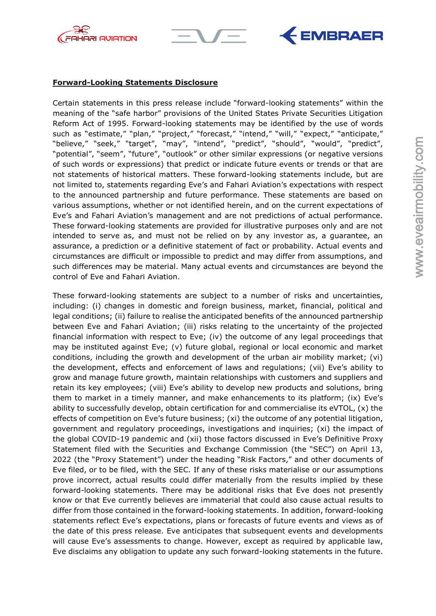





## **Forward-Looking Statements Disclosure**

Certain statements in this press release include "forward-looking statements" within the meaning of the "safe harbor" provisions of the United States Private Securities Litigation Reform Act of 1995. Forward-looking statements may be identified by the use of words such as "estimate," "plan," "project," "forecast," "intend," "will," "expect," "anticipate," "believe," "seek," "target", "may", "intend", "predict", "should", "would", "predict", "potential", "seem", "future", "outlook" or other similar expressions (or negative versions of such words or expressions) that predict or indicate future events or trends or that are not statements of historical matters. These forward-looking statements include, but are not limited to, statements regarding Eve's and Fahari Aviation's expectations with respect to the announced partnership and future performance. These statements are based on various assumptions, whether or not identified herein, and on the current expectations of Eve's and Fahari Aviation's management and are not predictions of actual performance. These forward-looking statements are provided for illustrative purposes only and are not intended to serve as, and must not be relied on by any investor as, a guarantee, an assurance, a prediction or a definitive statement of fact or probability. Actual events and circumstances are difficult or impossible to predict and may differ from assumptions, and such differences may be material. Many actual events and circumstances are beyond the control of Eve and Fahari Aviation.

These forward-looking statements are subject to a number of risks and uncertainties, including: (i) changes in domestic and foreign business, market, financial, political and legal conditions; (ii) failure to realise the anticipated benefits of the announced partnership between Eve and Fahari Aviation; (iii) risks relating to the uncertainty of the projected financial information with respect to Eve; (iv) the outcome of any legal proceedings that may be instituted against Eve; (v) future global, regional or local economic and market conditions, including the growth and development of the urban air mobility market; (vi) the development, effects and enforcement of laws and regulations; (vii) Eve's ability to grow and manage future growth, maintain relationships with customers and suppliers and retain its key employees; (viii) Eve's ability to develop new products and solutions, bring them to market in a timely manner, and make enhancements to its platform; (ix) Eve's ability to successfully develop, obtain certification for and commercialise its eVTOL, (x) the effects of competition on Eve's future business; (xi) the outcome of any potential litigation, government and regulatory proceedings, investigations and inquiries; (xi) the impact of the global COVID-19 pandemic and (xii) those factors discussed in Eve's Definitive Proxy Statement filed with the Securities and Exchange Commission (the "SEC") on April 13, 2022 (the "Proxy Statement") under the heading "Risk Factors," and other documents of Eve filed, or to be filed, with the SEC. If any of these risks materialise or our assumptions prove incorrect, actual results could differ materially from the results implied by these forward-looking statements. There may be additional risks that Eve does not presently know or that Eve currently believes are immaterial that could also cause actual results to differ from those contained in the forward-looking statements. In addition, forward-looking statements reflect Eve's expectations, plans or forecasts of future events and views as of the date of this press release. Eve anticipates that subsequent events and developments will cause Eve's assessments to change. However, except as required by applicable law, Solution (Figure 1 (matrix) in the spectral of the system of the system of the system in the context of the system in the context of the system is the system in the system in the system is the system of the system in the s